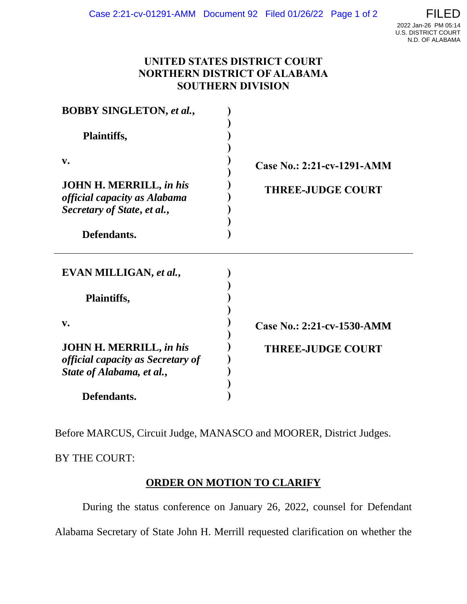## **UNITED STATES DISTRICT COURT NORTHERN DISTRICT OF ALABAMA SOUTHERN DIVISION**

| <b>BOBBY SINGLETON, et al.,</b>                                                                         |                            |
|---------------------------------------------------------------------------------------------------------|----------------------------|
| Plaintiffs,                                                                                             |                            |
| $V_{\bullet}$                                                                                           | Case No.: 2:21-cv-1291-AMM |
| <b>JOHN H. MERRILL, in his</b><br>official capacity as Alabama<br>Secretary of State, et al.,           | <b>THREE-JUDGE COURT</b>   |
| Defendants.                                                                                             |                            |
| EVAN MILLIGAN, et al.,                                                                                  |                            |
| <b>Plaintiffs,</b>                                                                                      |                            |
| $V_{\bullet}$                                                                                           | Case No.: 2:21-cv-1530-AMM |
| <b>JOHN H. MERRILL, in his</b><br><i>official capacity as Secretary of</i><br>State of Alabama, et al., | <b>THREE-JUDGE COURT</b>   |
| Defendants.                                                                                             |                            |

Before MARCUS, Circuit Judge, MANASCO and MOORER, District Judges.

BY THE COURT:

# **ORDER ON MOTION TO CLARIFY**

 During the status conference on January 26, 2022, counsel for Defendant Alabama Secretary of State John H. Merrill requested clarification on whether the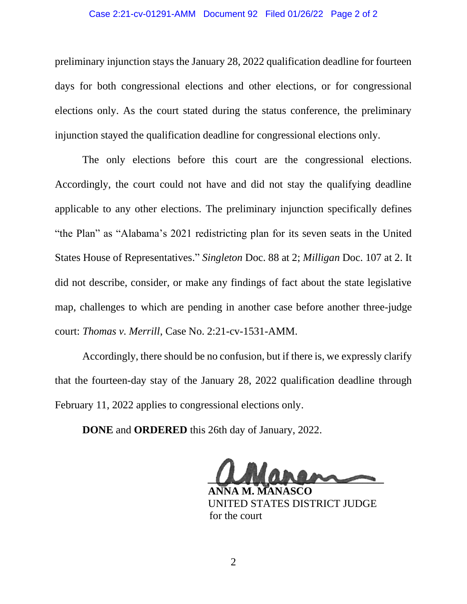#### Case 2:21-cv-01291-AMM Document 92 Filed 01/26/22 Page 2 of 2

preliminary injunction stays the January 28, 2022 qualification deadline for fourteen days for both congressional elections and other elections, or for congressional elections only. As the court stated during the status conference, the preliminary injunction stayed the qualification deadline for congressional elections only.

The only elections before this court are the congressional elections. Accordingly, the court could not have and did not stay the qualifying deadline applicable to any other elections. The preliminary injunction specifically defines "the Plan" as "Alabama's 2021 redistricting plan for its seven seats in the United States House of Representatives." *Singleton* Doc. 88 at 2; *Milligan* Doc. 107 at 2. It did not describe, consider, or make any findings of fact about the state legislative map, challenges to which are pending in another case before another three-judge court: *Thomas v. Merrill*, Case No. 2:21-cv-1531-AMM.

Accordingly, there should be no confusion, but if there is, we expressly clarify that the fourteen-day stay of the January 28, 2022 qualification deadline through February 11, 2022 applies to congressional elections only.

**DONE** and **ORDERED** this 26th day of January, 2022.

 **\_\_\_\_\_\_\_\_\_\_\_\_\_\_\_\_\_\_\_\_\_\_\_\_\_\_\_\_\_\_\_\_\_**

 **ANNA M. MANASCO** UNITED STATES DISTRICT JUDGE for the court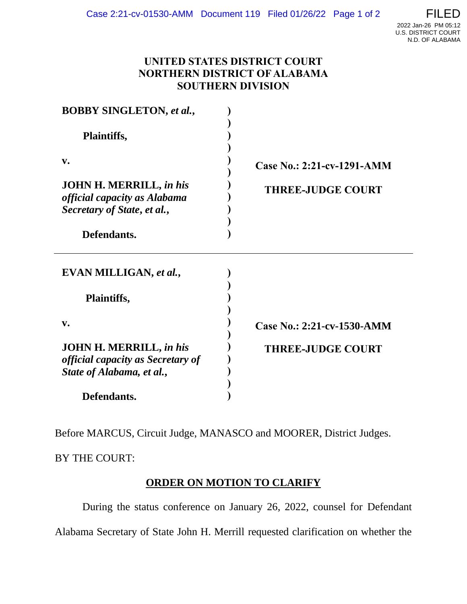## **UNITED STATES DISTRICT COURT NORTHERN DISTRICT OF ALABAMA SOUTHERN DIVISION**

| <b>BOBBY SINGLETON, et al.,</b>                                                                         |                            |
|---------------------------------------------------------------------------------------------------------|----------------------------|
| Plaintiffs,                                                                                             |                            |
| $V_{\bullet}$                                                                                           | Case No.: 2:21-cv-1291-AMM |
| <b>JOHN H. MERRILL, in his</b><br>official capacity as Alabama<br>Secretary of State, et al.,           | <b>THREE-JUDGE COURT</b>   |
| Defendants.                                                                                             |                            |
| EVAN MILLIGAN, et al.,                                                                                  |                            |
| <b>Plaintiffs,</b>                                                                                      |                            |
| $V_{\bullet}$                                                                                           | Case No.: 2:21-cv-1530-AMM |
| <b>JOHN H. MERRILL, in his</b><br><i>official capacity as Secretary of</i><br>State of Alabama, et al., | <b>THREE-JUDGE COURT</b>   |
| Defendants.                                                                                             |                            |

Before MARCUS, Circuit Judge, MANASCO and MOORER, District Judges.

BY THE COURT:

# **ORDER ON MOTION TO CLARIFY**

 During the status conference on January 26, 2022, counsel for Defendant Alabama Secretary of State John H. Merrill requested clarification on whether the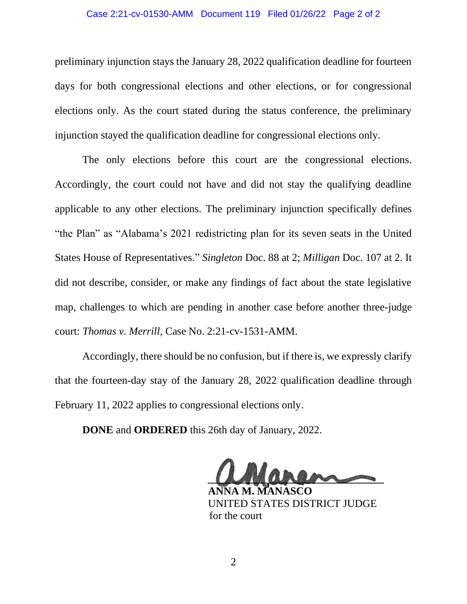#### Case 2:21-cv-01530-AMM Document 119 Filed 01/26/22 Page 2 of 2

preliminary injunction stays the January 28, 2022 qualification deadline for fourteen days for both congressional elections and other elections, or for congressional elections only. As the court stated during the status conference, the preliminary injunction stayed the qualification deadline for congressional elections only.

The only elections before this court are the congressional elections. Accordingly, the court could not have and did not stay the qualifying deadline applicable to any other elections. The preliminary injunction specifically defines "the Plan" as "Alabama's 2021 redistricting plan for its seven seats in the United States House of Representatives." *Singleton* Doc. 88 at 2; *Milligan* Doc. 107 at 2. It did not describe, consider, or make any findings of fact about the state legislative map, challenges to which are pending in another case before another three-judge court: *Thomas v. Merrill*, Case No. 2:21-cv-1531-AMM.

Accordingly, there should be no confusion, but if there is, we expressly clarify that the fourteen-day stay of the January 28, 2022 qualification deadline through February 11, 2022 applies to congressional elections only.

**DONE** and **ORDERED** this 26th day of January, 2022.

 **\_\_\_\_\_\_\_\_\_\_\_\_\_\_\_\_\_\_\_\_\_\_\_\_\_\_\_\_\_\_\_\_\_**

 **ANNA M. MANASCO** UNITED STATES DISTRICT JUDGE for the court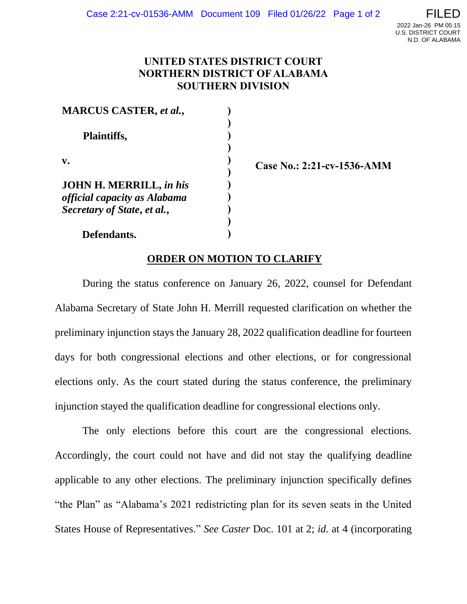### **UNITED STATES DISTRICT COURT NORTHERN DISTRICT OF ALABAMA SOUTHERN DIVISION**

**) ) ) ) ) ) ) ) ) ) )**

**MARCUS CASTER,** *et al.***, Plaintiffs, v. JOHN H. MERRILL,** *in his official capacity as Alabama* 

**Case No.: 2:21-cv-1536-AMM**

 **Defendants.**

*Secretary of State***,** *et al.***,** 

## **ORDER ON MOTION TO CLARIFY**

 During the status conference on January 26, 2022, counsel for Defendant Alabama Secretary of State John H. Merrill requested clarification on whether the preliminary injunction stays the January 28, 2022 qualification deadline for fourteen days for both congressional elections and other elections, or for congressional elections only. As the court stated during the status conference, the preliminary injunction stayed the qualification deadline for congressional elections only.

The only elections before this court are the congressional elections. Accordingly, the court could not have and did not stay the qualifying deadline applicable to any other elections. The preliminary injunction specifically defines "the Plan" as "Alabama's 2021 redistricting plan for its seven seats in the United States House of Representatives." *See Caster* Doc. 101 at 2; *id.* at 4 (incorporating